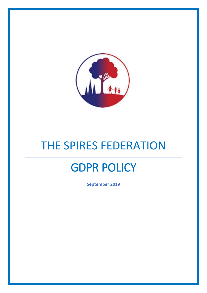

# THE SPIRES FEDERATION

## GDPR POLICY

**September 2019**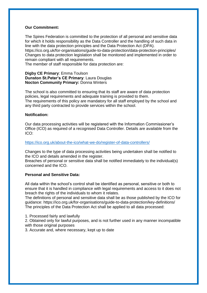#### **Our Commitment:**

The Spires Federation is committed to the protection of all personal and sensitive data for which it holds responsibility as the Data Controller and the handling of such data in line with the data protection principles and the Data Protection Act (DPA).

https://ico.org.uk/for-organisations/guide-to-data-protection/data-protection-principles/ Changes to data protection legislation shall be monitored and implemented in order to remain compliant with all requirements.

The member of staff responsible for data protection are:

#### **Digby CE Primary**: Emma Toulson **Dunston St.Peter's CE Primary**: Laura Douglas **Nocton Community Primary:** Donna Winters

The school is also committed to ensuring that its staff are aware of data protection policies, legal requirements and adequate training is provided to them. The requirements of this policy are mandatory for all staff employed by the school and any third party contracted to provide services within the school.

#### **Notification:**

Our data processing activities will be registered with the Information Commissioner's Office (ICO) as required of a recognised Data Controller. Details are available from the ICO:

#### <https://ico.org.uk/about-the-ico/what-we-do/register-of-data-controllers/>

Changes to the type of data processing activities being undertaken shall be notified to the ICO and details amended in the register.

Breaches of personal or sensitive data shall be notified immediately to the individual(s) concerned and the ICO.

#### **Personal and Sensitive Data:**

All data within the school's control shall be identified as personal, sensitive or both to ensure that it is handled in compliance with legal requirements and access to it does not breach the rights of the individuals to whom it relates.

The definitions of personal and sensitive data shall be as those published by the ICO for guidance: https://ico.org.uk/for-organisations/guide-to-data-protection/key-definitions/ The principles of the Data Protection Act shall be applied to all data processed:

1. Processed fairly and lawfully

2. Obtained only for lawful purposes, and is not further used in any manner incompatible with those original purposes

3. Accurate and, where necessary, kept up to date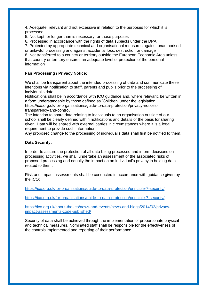4. Adequate, relevant and not excessive in relation to the purposes for which it is processed

5. Not kept for longer than is necessary for those purposes

6. Processed in accordance with the rights of data subjects under the DPA

7. Protected by appropriate technical and organisational measures against unauthorised

or unlawful processing and against accidental loss, destruction or damage 8. Not transferred to a country or territory outside the European Economic Area unless that country or territory ensures an adequate level of protection of the personal information

## **Fair Processing / Privacy Notice:**

We shall be transparent about the intended processing of data and communicate these intentions via notification to staff, parents and pupils prior to the processing of individual's data.

Notifications shall be in accordance with ICO guidance and, where relevant, be written in a form understandable by those defined as 'Children' under the legislation.

https://ico.org.uk/for-organisations/guide-to-data-protection/privacy-noticestransparency-and-control/

The intention to share data relating to individuals to an organisation outside of our school shall be clearly defined within notifications and details of the basis for sharing given. Data will be shared with external parties in circumstances where it is a legal requirement to provide such information.

Any proposed change to the processing of individual's data shall first be notified to them.

### **Data Security:**

In order to assure the protection of all data being processed and inform decisions on processing activities, we shall undertake an assessment of the associated risks of proposed processing and equally the impact on an individual's privacy in holding data related to them.

Risk and impact assessments shall be conducted in accordance with guidance given by the ICO:

<https://ico.org.uk/for-organisations/guide-to-data-protection/principle-7-security/>

<https://ico.org.uk/for-organisations/guide-to-data-protection/principle-7-security/>

[https://ico.org.uk/about-the-ico/news-and-events/news-and-blogs/2014/02/privacy](https://ico.org.uk/about-the-ico/news-and-events/news-and-blogs/2014/02/privacy-impact-assessments-code-published/)[impact-assessments-code-published/](https://ico.org.uk/about-the-ico/news-and-events/news-and-blogs/2014/02/privacy-impact-assessments-code-published/)

Security of data shall be achieved through the implementation of proportionate physical and technical measures. Nominated staff shall be responsible for the effectiveness of the controls implemented and reporting of their performance.